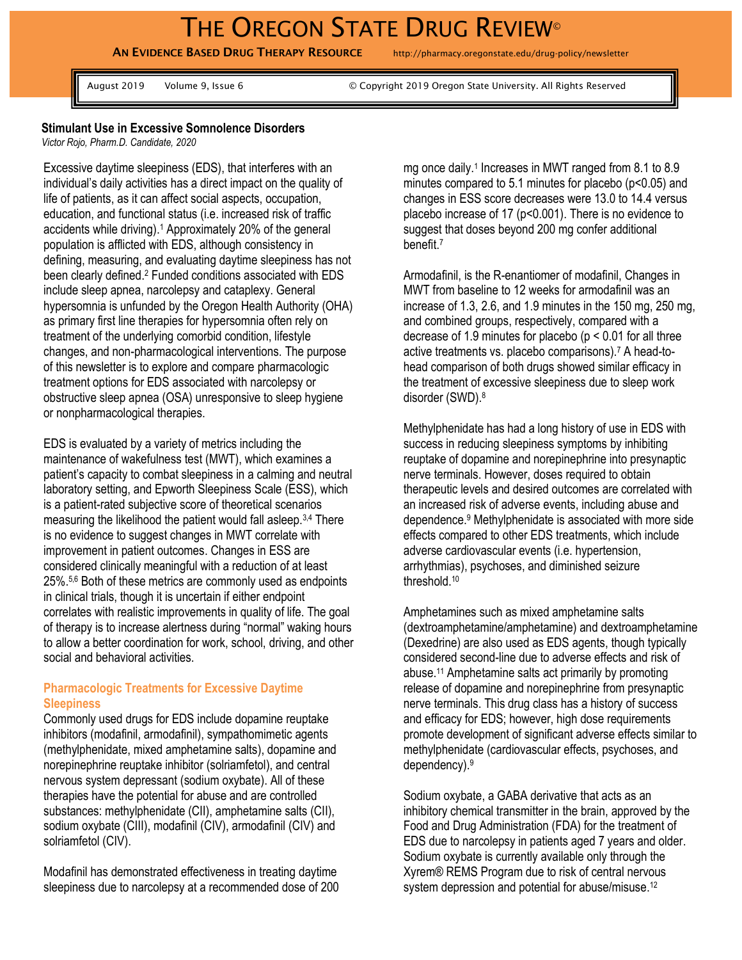# THE OREGON STATE DRUG REVIEW®

**AN EVIDENCE BASED DRUG THERAPY RESOURCE** http://pharmacy.oregonstate.edu/drug-policy/newsletter

August 2019 Volume 9, Issue 6 © Copyright 2019 Oregon State University. All Rights Reserved

#### **Stimulant Use in Excessive Somnolence Disorders**

*Victor Rojo, Pharm.D. Candidate, 2020*

Excessive daytime sleepiness (EDS), that interferes with an individual's daily activities has a direct impact on the quality of life of patients, as it can affect social aspects, occupation, education, and functional status (i.e. increased risk of traffic accidents while driving). <sup>1</sup> Approximately 20% of the general population is afflicted with EDS, although consistency in defining, measuring, and evaluating daytime sleepiness has not been clearly defined. <sup>2</sup> Funded conditions associated with EDS include sleep apnea, narcolepsy and cataplexy. General hypersomnia is unfunded by the Oregon Health Authority (OHA) as primary first line therapies for hypersomnia often rely on treatment of the underlying comorbid condition, lifestyle changes, and non-pharmacological interventions. The purpose of this newsletter is to explore and compare pharmacologic treatment options for EDS associated with narcolepsy or obstructive sleep apnea (OSA) unresponsive to sleep hygiene or nonpharmacological therapies.

EDS is evaluated by a variety of metrics including the maintenance of wakefulness test (MWT), which examines a patient's capacity to combat sleepiness in a calming and neutral laboratory setting, and Epworth Sleepiness Scale (ESS), which is a patient-rated subjective score of theoretical scenarios measuring the likelihood the patient would fall asleep.3,4 There is no evidence to suggest changes in MWT correlate with improvement in patient outcomes. Changes in ESS are considered clinically meaningful with a reduction of at least 25%. 5,6 Both of these metrics are commonly used as endpoints in clinical trials, though it is uncertain if either endpoint correlates with realistic improvements in quality of life. The goal of therapy is to increase alertness during "normal" waking hours to allow a better coordination for work, school, driving, and other social and behavioral activities.

#### **Pharmacologic Treatments for Excessive Daytime Sleepiness**

Commonly used drugs for EDS include dopamine reuptake inhibitors (modafinil, armodafinil), sympathomimetic agents (methylphenidate, mixed amphetamine salts), dopamine and norepinephrine reuptake inhibitor (solriamfetol), and central nervous system depressant (sodium oxybate). All of these therapies have the potential for abuse and are controlled substances: methylphenidate (CII), amphetamine salts (CII), sodium oxybate (CIII), modafinil (CIV), armodafinil (CIV) and solriamfetol (CIV).

Modafinil has demonstrated effectiveness in treating daytime sleepiness due to narcolepsy at a recommended dose of 200

mg once daily.<sup>1</sup> Increases in MWT ranged from 8.1 to 8.9 minutes compared to 5.1 minutes for placebo (p<0.05) and changes in ESS score decreases were 13.0 to 14.4 versus placebo increase of 17 (p<0.001). There is no evidence to suggest that doses beyond 200 mg confer additional benefit.<sup>7</sup>

Armodafinil, is the R-enantiomer of modafinil, Changes in MWT from baseline to 12 weeks for armodafinil was an increase of 1.3, 2.6, and 1.9 minutes in the 150 mg, 250 mg, and combined groups, respectively, compared with a decrease of 1.9 minutes for placebo (p < 0.01 for all three active treatments vs. placebo comparisons). <sup>7</sup> A head-tohead comparison of both drugs showed similar efficacy in the treatment of excessive sleepiness due to sleep work disorder (SWD). 8

Methylphenidate has had a long history of use in EDS with success in reducing sleepiness symptoms by inhibiting reuptake of dopamine and norepinephrine into presynaptic nerve terminals. However, doses required to obtain therapeutic levels and desired outcomes are correlated with an increased risk of adverse events, including abuse and dependence. <sup>9</sup> Methylphenidate is associated with more side effects compared to other EDS treatments, which include adverse cardiovascular events (i.e. hypertension, arrhythmias), psychoses, and diminished seizure threshold.<sup>10</sup>

Amphetamines such as mixed amphetamine salts (dextroamphetamine/amphetamine) and dextroamphetamine (Dexedrine) are also used as EDS agents, though typically considered second-line due to adverse effects and risk of abuse. <sup>11</sup> Amphetamine salts act primarily by promoting release of dopamine and norepinephrine from presynaptic nerve terminals. This drug class has a history of success and efficacy for EDS; however, high dose requirements promote development of significant adverse effects similar to methylphenidate (cardiovascular effects, psychoses, and dependency).<sup>9</sup>

Sodium oxybate, a GABA derivative that acts as an inhibitory chemical transmitter in the brain, approved by the Food and Drug Administration (FDA) for the treatment of EDS due to narcolepsy in patients aged 7 years and older. Sodium oxybate is currently available only through the Xyrem® REMS Program due to risk of central nervous system depression and potential for abuse/misuse.<sup>12</sup>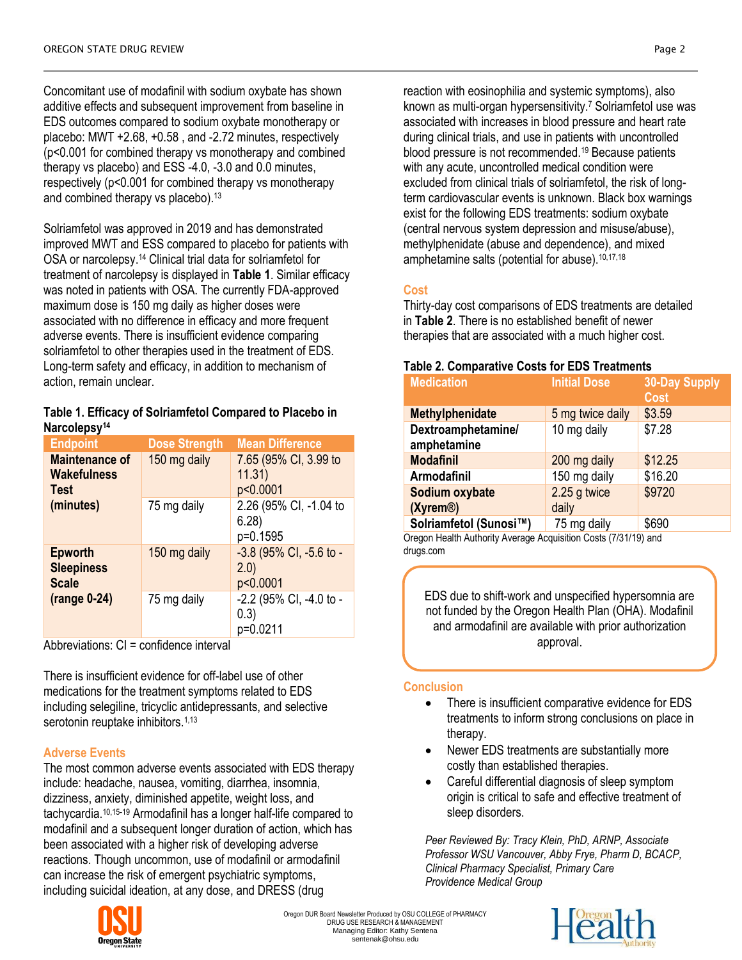Concomitant use of modafinil with sodium oxybate has shown additive effects and subsequent improvement from baseline in EDS outcomes compared to sodium oxybate monotherapy or placebo: MWT +2.68, +0.58 , and -2.72 minutes, respectively (p<0.001 for combined therapy vs monotherapy and combined therapy vs placebo) and ESS -4.0, -3.0 and 0.0 minutes, respectively (p<0.001 for combined therapy vs monotherapy and combined therapy vs placebo).<sup>13</sup>

Solriamfetol was approved in 2019 and has demonstrated improved MWT and ESS compared to placebo for patients with OSA or narcolepsy.<sup>14</sup> Clinical trial data for solriamfetol for treatment of narcolepsy is displayed in **Table 1**. Similar efficacy was noted in patients with OSA. The currently FDA-approved maximum dose is 150 mg daily as higher doses were associated with no difference in efficacy and more frequent adverse events. There is insufficient evidence comparing solriamfetol to other therapies used in the treatment of EDS. Long-term safety and efficacy, in addition to mechanism of action, remain unclear.

#### **Table 1. Efficacy of Solriamfetol Compared to Placebo in Narcolepsy<sup>14</sup>**

| <b>Endpoint</b>                                            | <b>Dose Strength</b> | <b>Mean Difference</b>                       |
|------------------------------------------------------------|----------------------|----------------------------------------------|
| <b>Maintenance of</b><br><b>Wakefulness</b><br><b>Test</b> | 150 mg daily         | 7.65 (95% CI, 3.99 to<br>11.31)<br>p<0.0001  |
| (minutes)                                                  | 75 mg daily          | 2.26 (95% CI, -1.04 to<br>6.28)<br>p=0.1595  |
| <b>Epworth</b><br><b>Sleepiness</b><br><b>Scale</b>        | 150 mg daily         | -3.8 (95% CI, -5.6 to -<br>(2.0)<br>p<0.0001 |
| $(range 0-24)$                                             | 75 mg daily          | -2.2 (95% CI, -4.0 to -<br>(0.3)<br>p=0.0211 |

Abbreviations: CI = confidence interval

There is insufficient evidence for off-label use of other medications for the treatment symptoms related to EDS including selegiline, tricyclic antidepressants, and selective serotonin reuptake inhibitors.<sup>1,13</sup>

## **Adverse Events**

The most common adverse events associated with EDS therapy include: headache, nausea, vomiting, diarrhea, insomnia, dizziness, anxiety, diminished appetite, weight loss, and tachycardia. 10,15-19 Armodafinil has a longer half-life compared to modafinil and a subsequent longer duration of action, which has been associated with a higher risk of developing adverse reactions. Though uncommon, use of modafinil or armodafinil can increase the risk of emergent psychiatric symptoms, including suicidal ideation, at any dose, and DRESS (drug



## **Cost**

Thirty-day cost comparisons of EDS treatments are detailed in **Table 2**. There is no established benefit of newer therapies that are associated with a much higher cost.

## **Table 2. Comparative Costs for EDS Treatments**

| <b>Medication</b>                       | <b>Initial Dose</b>   | <b>30-Day Supply</b><br><b>Cost</b> |
|-----------------------------------------|-----------------------|-------------------------------------|
| <b>Methylphenidate</b>                  | 5 mg twice daily      | \$3.59                              |
| Dextroamphetamine/<br>amphetamine       | 10 mg daily           | \$7.28                              |
| <b>Modafinil</b>                        | 200 mg daily          | \$12.25                             |
| Armodafinil                             | 150 mg daily          | \$16.20                             |
| Sodium oxybate<br>(Xyrem <sup>®</sup> ) | 2.25 g twice<br>daily | \$9720                              |
| Solriamfetol (Sunosi™)                  | 75 mg daily           | \$690                               |

Oregon Health Authority Average Acquisition Costs (7/31/19) and drugs.com

EDS due to shift-work and unspecified hypersomnia are not funded by the Oregon Health Plan (OHA). Modafinil and armodafinil are available with prior authorization approval.

## **Conclusion**

- There is insufficient comparative evidence for EDS treatments to inform strong conclusions on place in therapy.
- Newer EDS treatments are substantially more costly than established therapies.
- Careful differential diagnosis of sleep symptom origin is critical to safe and effective treatment of sleep disorders.

*Peer Reviewed By: Tracy Klein, PhD, ARNP, Associate Professor WSU Vancouver, Abby Frye, Pharm D, BCACP, Clinical Pharmacy Specialist, Primary Care Providence Medical Group*